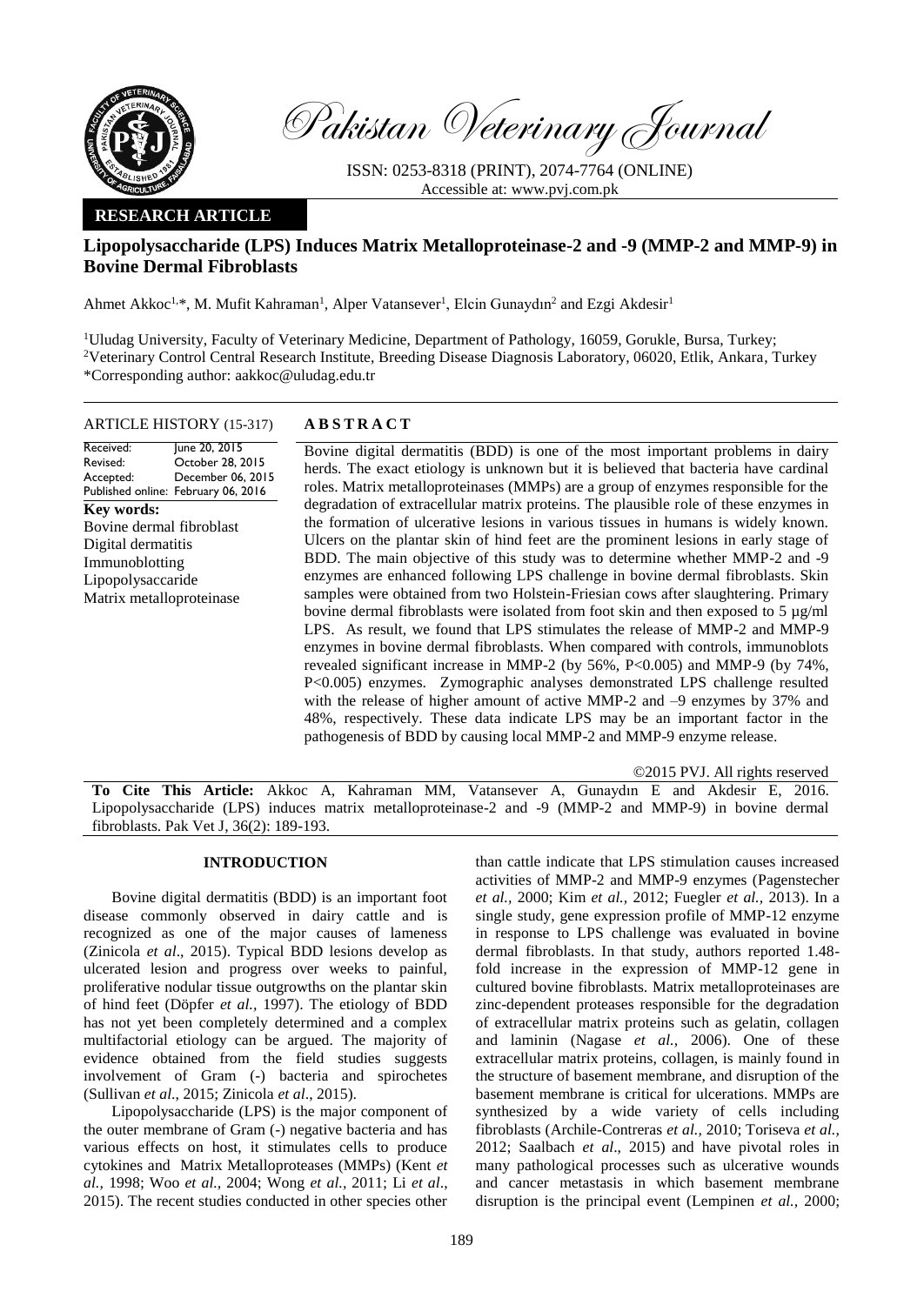

Pakistan Veterinary Journal

ISSN: 0253-8318 (PRINT), 2074-7764 (ONLINE) Accessible at: [www.pvj.com.pk](http://www.pvj.com.pk/)

## **RESEARCH ARTICLE**

# **Lipopolysaccharide (LPS) Induces Matrix Metalloproteinase-2 and -9 (MMP-2 and MMP-9) in Bovine Dermal Fibroblasts**

Ahmet Akkoc<sup>1,\*</sup>, M. Mufit Kahraman<sup>1</sup>, Alper Vatansever<sup>1</sup>, Elcin Gunaydın<sup>2</sup> and Ezgi Akdesir<sup>1</sup>

<sup>1</sup>Uludag University, Faculty of Veterinary Medicine, Department of Pathology, 16059, Gorukle, Bursa, Turkey; <sup>2</sup>Veterinary Control Central Research Institute, Breeding Disease Diagnosis Laboratory, 06020, Etlik, Ankara, Turkey \*Corresponding author: aakkoc@uludag.edu.tr

### ARTICLE HISTORY (15-317) **A B S T R A C T**

Received: Revised: Accepted: Published online: February 06, 2016 June 20, 2015 October 28, 2015 December 06, 2015 **Key words:**  Bovine dermal fibroblast Digital dermatitis Immunoblotting Lipopolysaccaride Matrix metalloproteinase

Bovine digital dermatitis (BDD) is one of the most important problems in dairy herds. The exact etiology is unknown but it is believed that bacteria have cardinal roles. Matrix metalloproteinases (MMPs) are a group of enzymes responsible for the degradation of extracellular matrix proteins. The plausible role of these enzymes in the formation of ulcerative lesions in various tissues in humans is widely known. Ulcers on the plantar skin of hind feet are the prominent lesions in early stage of BDD. The main objective of this study was to determine whether MMP-2 and -9 enzymes are enhanced following LPS challenge in bovine dermal fibroblasts. Skin samples were obtained from two Holstein-Friesian cows after slaughtering. Primary bovine dermal fibroblasts were isolated from foot skin and then exposed to 5 µg/ml LPS. As result, we found that LPS stimulates the release of MMP-2 and MMP-9 enzymes in bovine dermal fibroblasts. When compared with controls, immunoblots revealed significant increase in MMP-2 (by 56%, P<0.005) and MMP-9 (by 74%, P<0.005) enzymes. Zymographic analyses demonstrated LPS challenge resulted with the release of higher amount of active MMP-2 and –9 enzymes by 37% and 48%, respectively. These data indicate LPS may be an important factor in the pathogenesis of BDD by causing local MMP-2 and MMP-9 enzyme release.

©2015 PVJ. All rights reserved

**To Cite This Article:** Akkoc A, Kahraman MM, Vatansever A, Gunaydın E and Akdesir E, 2016. Lipopolysaccharide (LPS) induces matrix metalloproteinase-2 and -9 (MMP-2 and MMP-9) in bovine dermal fibroblasts. Pak Vet J, 36(2): 189-193.

### **INTRODUCTION**

Bovine digital dermatitis (BDD) is an important foot disease commonly observed in dairy cattle and is recognized as one of the major causes of lameness (Zinicola *et al*., 2015). Typical BDD lesions develop as ulcerated lesion and progress over weeks to painful, proliferative nodular tissue outgrowths on the plantar skin of hind feet (Döpfer *et al.,* 1997). The etiology of BDD has not yet been completely determined and a complex multifactorial etiology can be argued. The majority of evidence obtained from the field studies suggests involvement of Gram (-) bacteria and spirochetes (Sullivan *et al*., 2015; Zinicola *et al*., 2015).

Lipopolysaccharide (LPS) is the major component of the outer membrane of Gram (-) negative bacteria and has various effects on host, it stimulates cells to produce cytokines and Matrix Metalloproteases (MMPs) (Kent *et al.,* 1998; Woo *et al.,* 2004; Wong *et al.,* 2011; Li *et al*., 2015). The recent studies conducted in other species other

than cattle indicate that LPS stimulation causes increased activities of MMP-2 and MMP-9 enzymes (Pagenstecher *et al.,* 2000; Kim *et al.,* 2012; Fuegler *et al.,* 2013). In a single study, gene expression profile of MMP-12 enzyme in response to LPS challenge was evaluated in bovine dermal fibroblasts. In that study, authors reported 1.48 fold increase in the expression of MMP-12 gene in cultured bovine fibroblasts. Matrix metalloproteinases are zinc-dependent proteases responsible for the degradation of extracellular matrix proteins such as gelatin, collagen and laminin (Nagase *et al.,* 2006). One of these extracellular matrix proteins, collagen, is mainly found in the structure of basement membrane, and disruption of the basement membrane is critical for ulcerations. MMPs are synthesized by a wide variety of cells including fibroblasts (Archile-Contreras *et al.,* 2010; Toriseva *et al.,* 2012; Saalbach *et al*., 2015) and have pivotal roles in many pathological processes such as ulcerative wounds and cancer metastasis in which basement membrane disruption is the principal event (Lempinen *et al.,* 2000;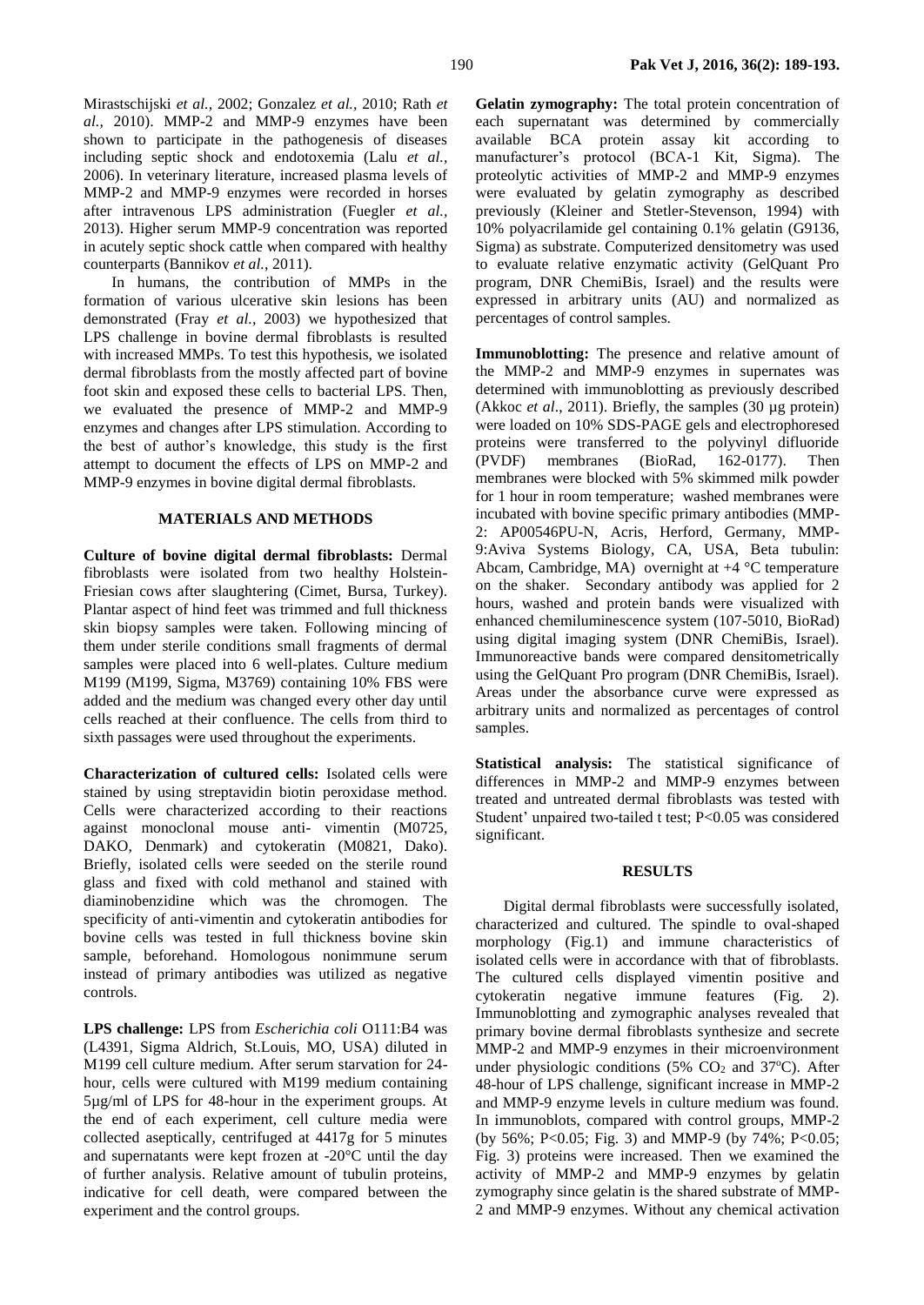Mirastschijski *et al.,* 2002; Gonzalez *et al.,* 2010; Rath *et al.,* 2010). MMP-2 and MMP-9 enzymes have been shown to participate in the pathogenesis of diseases including septic shock and endotoxemia (Lalu *et al.,* 2006). In veterinary literature, increased plasma levels of MMP-2 and MMP-9 enzymes were recorded in horses after intravenous LPS administration (Fuegler *et al.,* 2013). Higher serum MMP-9 concentration was reported in acutely septic shock cattle when compared with healthy counterparts (Bannikov *et al.,* 2011).

In humans, the contribution of MMPs in the formation of various ulcerative skin lesions has been demonstrated (Fray *et al.,* 2003) we hypothesized that LPS challenge in bovine dermal fibroblasts is resulted with increased MMPs. To test this hypothesis, we isolated dermal fibroblasts from the mostly affected part of bovine foot skin and exposed these cells to bacterial LPS. Then, we evaluated the presence of MMP-2 and MMP-9 enzymes and changes after LPS stimulation. According to the best of author's knowledge, this study is the first attempt to document the effects of LPS on MMP-2 and MMP-9 enzymes in bovine digital dermal fibroblasts.

### **MATERIALS AND METHODS**

**Culture of bovine digital dermal fibroblasts:** Dermal fibroblasts were isolated from two healthy Holstein-Friesian cows after slaughtering (Cimet, Bursa, Turkey). Plantar aspect of hind feet was trimmed and full thickness skin biopsy samples were taken. Following mincing of them under sterile conditions small fragments of dermal samples were placed into 6 well-plates. Culture medium M199 (M199, Sigma, M3769) containing 10% FBS were added and the medium was changed every other day until cells reached at their confluence. The cells from third to sixth passages were used throughout the experiments.

**Characterization of cultured cells:** Isolated cells were stained by using streptavidin biotin peroxidase method. Cells were characterized according to their reactions against monoclonal mouse anti- vimentin (M0725, DAKO, Denmark) and cytokeratin (M0821, Dako). Briefly, isolated cells were seeded on the sterile round glass and fixed with cold methanol and stained with diaminobenzidine which was the chromogen. The specificity of anti-vimentin and cytokeratin antibodies for bovine cells was tested in full thickness bovine skin sample, beforehand. Homologous nonimmune serum instead of primary antibodies was utilized as negative controls.

**LPS challenge:** LPS from *Escherichia coli* O111:B4 was (L4391, Sigma Aldrich, St.Louis, MO, USA) diluted in M199 cell culture medium. After serum starvation for 24 hour, cells were cultured with M199 medium containing 5µg/ml of LPS for 48-hour in the experiment groups. At the end of each experiment, cell culture media were collected aseptically, centrifuged at 4417g for 5 minutes and supernatants were kept frozen at -20°C until the day of further analysis. Relative amount of tubulin proteins, indicative for cell death, were compared between the experiment and the control groups.

**Gelatin zymography:** The total protein concentration of each supernatant was determined by commercially available BCA protein assay kit according to manufacturer's protocol (BCA-1 Kit, Sigma). The proteolytic activities of MMP-2 and MMP-9 enzymes were evaluated by gelatin zymography as described previously (Kleiner and Stetler-Stevenson, 1994) with 10% polyacrilamide gel containing 0.1% gelatin (G9136, Sigma) as substrate. Computerized densitometry was used to evaluate relative enzymatic activity (GelQuant Pro program, DNR ChemiBis, Israel) and the results were expressed in arbitrary units (AU) and normalized as percentages of control samples.

**Immunoblotting:** The presence and relative amount of the MMP-2 and MMP-9 enzymes in supernates was determined with immunoblotting as previously described (Akkoc *et al*., 2011). Briefly, the samples (30 µg protein) were loaded on 10% SDS-PAGE gels and electrophoresed proteins were transferred to the polyvinyl difluoride (PVDF) membranes (BioRad, 162-0177). Then membranes were blocked with 5% skimmed milk powder for 1 hour in room temperature; washed membranes were incubated with bovine specific primary antibodies (MMP-2: AP00546PU-N, Acris, Herford, Germany, MMP-9:Aviva Systems Biology, CA, USA, Beta tubulin: Abcam, Cambridge, MA) overnight at +4 °C temperature on the shaker. Secondary antibody was applied for 2 hours, washed and protein bands were visualized with enhanced chemiluminescence system (107-5010, BioRad) using digital imaging system (DNR ChemiBis, Israel). Immunoreactive bands were compared densitometrically using the GelQuant Pro program (DNR ChemiBis, Israel). Areas under the absorbance curve were expressed as arbitrary units and normalized as percentages of control samples.

**Statistical analysis:** The statistical significance of differences in MMP-2 and MMP-9 enzymes between treated and untreated dermal fibroblasts was tested with Student' unpaired two-tailed t test; P<0.05 was considered significant.

### **RESULTS**

Digital dermal fibroblasts were successfully isolated, characterized and cultured. The spindle to oval-shaped morphology (Fig.1) and immune characteristics of isolated cells were in accordance with that of fibroblasts. The cultured cells displayed vimentin positive and cytokeratin negative immune features (Fig. 2). Immunoblotting and zymographic analyses revealed that primary bovine dermal fibroblasts synthesize and secrete MMP-2 and MMP-9 enzymes in their microenvironment under physiologic conditions (5%  $CO<sub>2</sub>$  and 37°C). After 48-hour of LPS challenge, significant increase in MMP-2 and MMP-9 enzyme levels in culture medium was found. In immunoblots, compared with control groups, MMP-2 (by 56%; P<0.05; Fig. 3) and MMP-9 (by 74%; P<0.05; Fig. 3) proteins were increased. Then we examined the activity of MMP-2 and MMP-9 enzymes by gelatin zymography since gelatin is the shared substrate of MMP-2 and MMP-9 enzymes. Without any chemical activation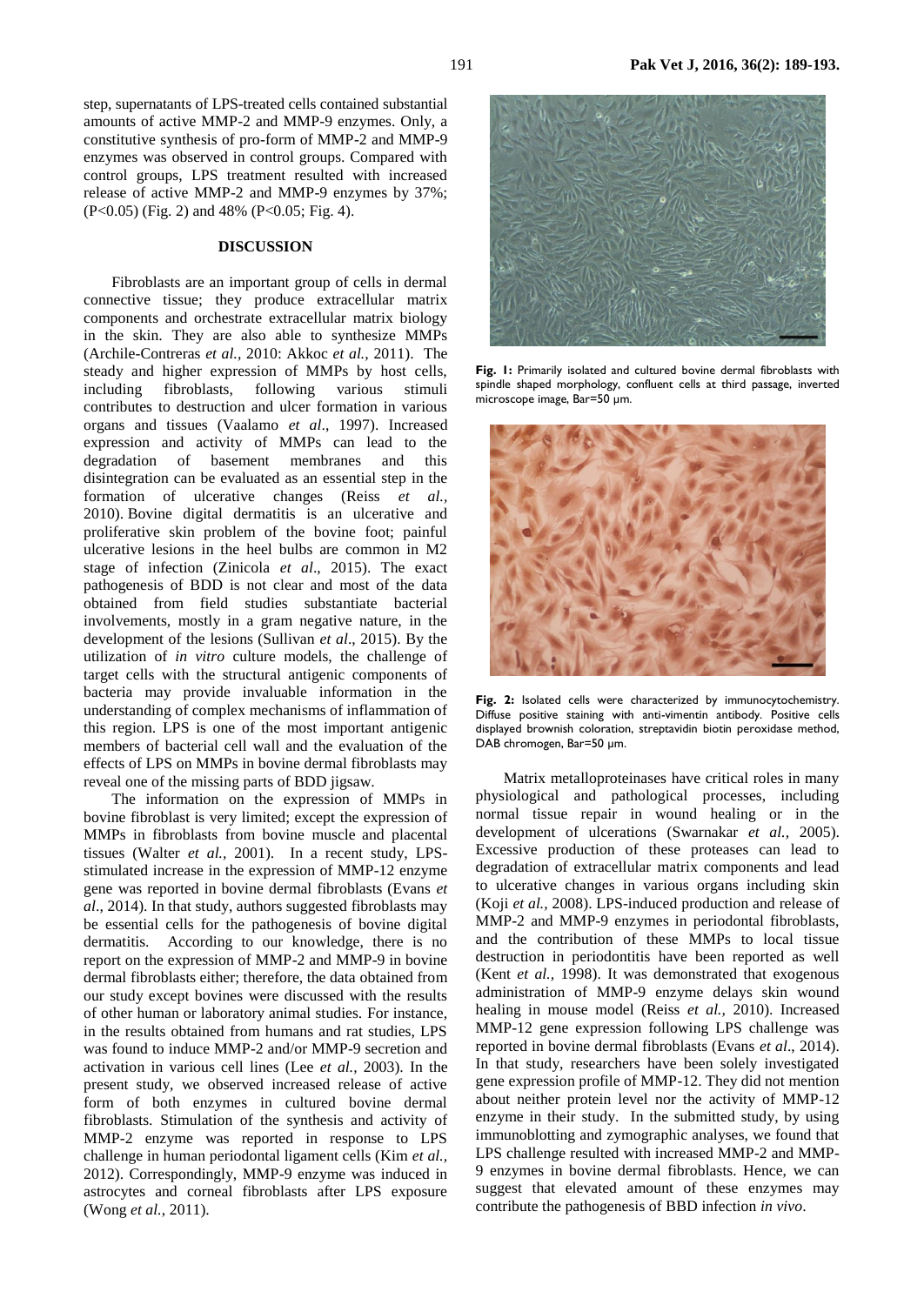191 **Pak Vet J, 2016, 36(2): 189-193.**

step, supernatants of LPS-treated cells contained substantial amounts of active MMP-2 and MMP-9 enzymes. Only, a constitutive synthesis of pro-form of MMP-2 and MMP-9 enzymes was observed in control groups. Compared with control groups, LPS treatment resulted with increased release of active MMP-2 and MMP-9 enzymes by 37%; (P<0.05) (Fig. 2) and 48% (P<0.05; Fig. 4).

### **DISCUSSION**

Fibroblasts are an important group of cells in dermal connective tissue; they produce extracellular matrix components and orchestrate extracellular matrix biology in the skin. They are also able to synthesize MMPs (Archile-Contreras *et al.,* 2010: Akkoc *et al.,* 2011). The steady and higher expression of MMPs by host cells, including fibroblasts, following various stimuli contributes to destruction and ulcer formation in various organs and tissues (Vaalamo *et al*., 1997). Increased expression and activity of MMPs can lead to the degradation of basement membranes and this disintegration can be evaluated as an essential step in the formation of ulcerative changes (Reiss *et al.,* 2010). Bovine digital dermatitis is an ulcerative and proliferative skin problem of the bovine foot; painful ulcerative lesions in the heel bulbs are common in M2 stage of infection (Zinicola *et al*., 2015). The exact pathogenesis of BDD is not clear and most of the data obtained from field studies substantiate bacterial involvements, mostly in a gram negative nature, in the development of the lesions (Sullivan *et al*., 2015). By the utilization of *in vitro* culture models, the challenge of target cells with the structural antigenic components of bacteria may provide invaluable information in the understanding of complex mechanisms of inflammation of this region. LPS is one of the most important antigenic members of bacterial cell wall and the evaluation of the effects of LPS on MMPs in bovine dermal fibroblasts may reveal one of the missing parts of BDD jigsaw.

The information on the expression of MMPs in bovine fibroblast is very limited; except the expression of MMPs in fibroblasts from bovine muscle and placental tissues (Walter *et al.,* 2001). In a recent study, LPSstimulated increase in the expression of MMP-12 enzyme gene was reported in bovine dermal fibroblasts (Evans *et al*., 2014). In that study, authors suggested fibroblasts may be essential cells for the pathogenesis of bovine digital dermatitis. According to our knowledge, there is no report on the expression of MMP-2 and MMP-9 in bovine dermal fibroblasts either; therefore, the data obtained from our study except bovines were discussed with the results of other human or laboratory animal studies. For instance, in the results obtained from humans and rat studies, LPS was found to induce MMP-2 and/or MMP-9 secretion and activation in various cell lines (Lee *et al.,* 2003). In the present study, we observed increased release of active form of both enzymes in cultured bovine dermal fibroblasts. Stimulation of the synthesis and activity of MMP-2 enzyme was reported in response to LPS challenge in human periodontal ligament cells (Kim *et al.,* 2012). Correspondingly, MMP-9 enzyme was induced in astrocytes and corneal fibroblasts after LPS exposure (Wong *et al.,* 2011).



**Fig. 1:** Primarily isolated and cultured bovine dermal fibroblasts with spindle shaped morphology, confluent cells at third passage, inverted microscope image, Bar=50 µm.



Fig. 2: Isolated cells were characterized by immunocytochemistry. Diffuse positive staining with anti-vimentin antibody. Positive cells displayed brownish coloration, streptavidin biotin peroxidase method, DAB chromogen, Bar=50 µm.

Matrix metalloproteinases have critical roles in many physiological and pathological processes, including normal tissue repair in wound healing or in the development of ulcerations (Swarnakar *et al.,* 2005). Excessive production of these proteases can lead to degradation of extracellular matrix components and lead to ulcerative changes in various organs including skin (Koji *et al.,* 2008). LPS-induced production and release of MMP-2 and MMP-9 enzymes in periodontal fibroblasts, and the contribution of these MMPs to local tissue destruction in periodontitis have been reported as well (Kent *et al.,* 1998). It was demonstrated that exogenous administration of MMP-9 enzyme delays skin wound healing in mouse model (Reiss *et al.,* 2010). Increased MMP-12 gene expression following LPS challenge was reported in bovine dermal fibroblasts (Evans *et al*., 2014). In that study, researchers have been solely investigated gene expression profile of MMP-12. They did not mention about neither protein level nor the activity of MMP-12 enzyme in their study. In the submitted study, by using immunoblotting and zymographic analyses, we found that LPS challenge resulted with increased MMP-2 and MMP-9 enzymes in bovine dermal fibroblasts. Hence, we can suggest that elevated amount of these enzymes may contribute the pathogenesis of BBD infection *in vivo*.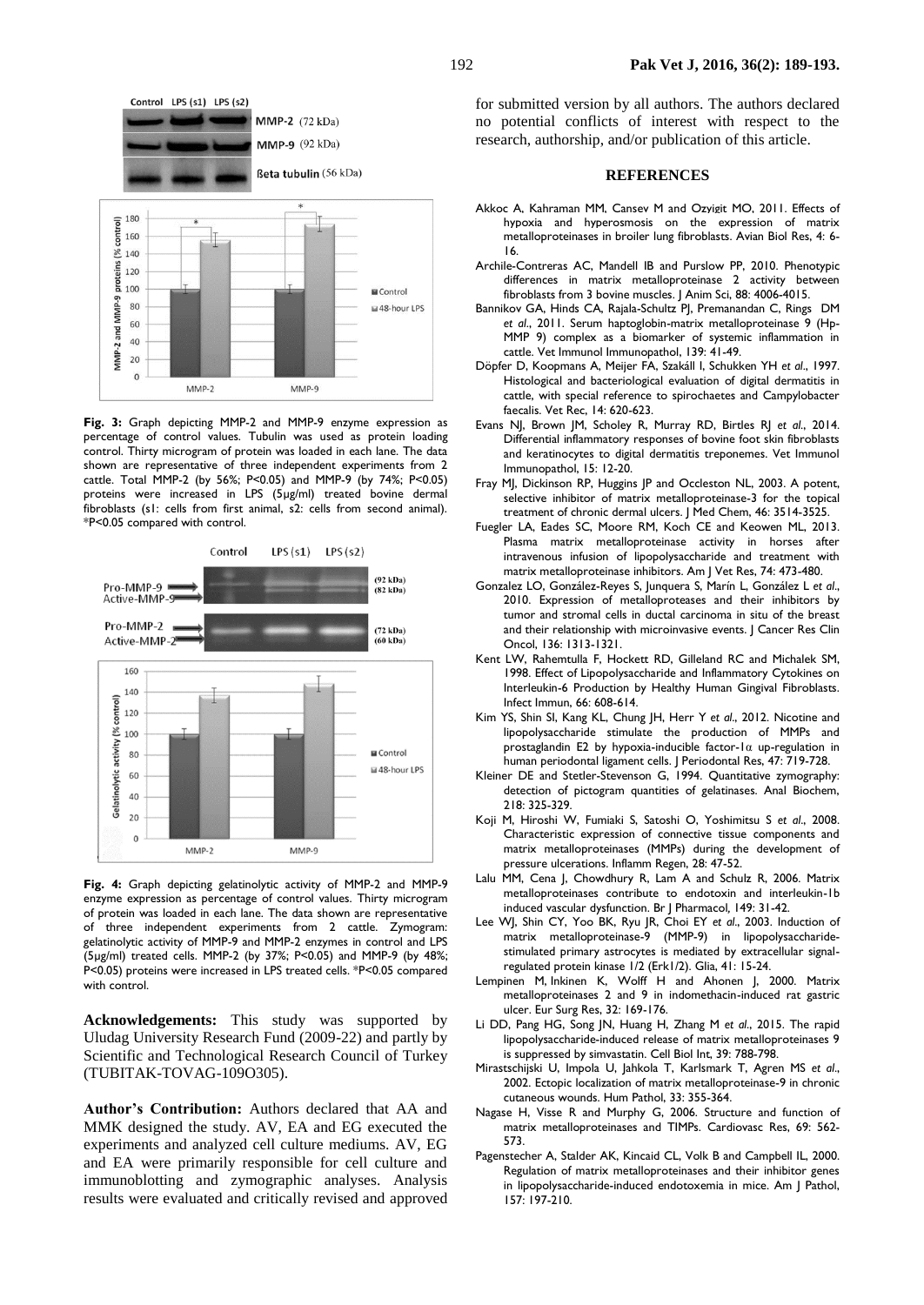

**Fig. 3:** Graph depicting MMP-2 and MMP-9 enzyme expression as percentage of control values. Tubulin was used as protein loading control. Thirty microgram of protein was loaded in each lane. The data shown are representative of three independent experiments from 2 cattle. Total MMP-2 (by 56%; P<0.05) and MMP-9 (by 74%; P<0.05) proteins were increased in LPS (5µg/ml) treated bovine dermal fibroblasts (s1: cells from first animal, s2: cells from second animal). \*P<0.05 compared with control.



**Fig. 4:** Graph depicting gelatinolytic activity of MMP-2 and MMP-9 enzyme expression as percentage of control values. Thirty microgram of protein was loaded in each lane. The data shown are representative of three independent experiments from 2 cattle. Zymogram: gelatinolytic activity of MMP-9 and MMP-2 enzymes in control and LPS (5µg/ml) treated cells. MMP-2 (by 37%; P<0.05) and MMP-9 (by 48%; P<0.05) proteins were increased in LPS treated cells. \*P<0.05 compared with control.

**Acknowledgements:** This study was supported by Uludag University Research Fund (2009-22) and partly by Scientific and Technological Research Council of Turkey (TUBITAK-TOVAG-109O305).

**Author's Contribution:** Authors declared that AA and MMK designed the study. AV, EA and EG executed the experiments and analyzed cell culture mediums. AV, EG and EA were primarily responsible for cell culture and immunoblotting and zymographic analyses. Analysis results were evaluated and critically revised and approved for submitted version by all authors. The authors declared no potential conflicts of interest with respect to the research, authorship, and/or publication of this article.

#### **REFERENCES**

- Akkoc A, Kahraman MM, Cansev M and Ozyigit MO, 2011. Effects of hypoxia and hyperosmosis on the expression of matrix metalloproteinases in broiler lung fibroblasts. Avian Biol Res, 4: 6- 16.
- Archile-Contreras AC, Mandell IB and Purslow PP, 2010. Phenotypic differences in matrix metalloproteinase 2 activity between fibroblasts from 3 bovine muscles. J Anim Sci, 88: 4006-4015.
- Bannikov GA, Hinds CA, Rajala-Schultz PJ, Premanandan C, [Rings](http://www.ncbi.nlm.nih.gov/pubmed?term=Rings%20DM%5BAuthor%5D&cauthor=true&cauthor_uid=20832124) DM *et al*., 2011. Serum haptoglobin-matrix metalloproteinase 9 (Hp-MMP 9) complex as a biomarker of systemic inflammation in cattle. Vet Immunol Immunopathol, 139: 41-49.
- Döpfer D, Koopmans A, Meijer FA, Szakáll I, Schukken YH *et al*., 1997. Histological and bacteriological evaluation of digital dermatitis in cattle, with special reference to spirochaetes and Campylobacter faecalis. Vet Rec, 14: 620-623.
- Evans NJ, Brown JM, Scholey R, Murray RD, Birtles RJ *et al*., 2014. Differential inflammatory responses of bovine foot skin fibroblasts and keratinocytes to digital dermatitis treponemes. Vet Immunol Immunopathol, 15: 12-20.
- Fray MJ, Dickinson RP, Huggins JP and Occleston NL, 2003. A potent, selective inhibitor of matrix metalloproteinase-3 for the topical treatment of chronic dermal ulcers. J Med Chem, 46: 3514-3525.
- Fuegler LA, Eades SC, Moore RM, Koch CE and Keowen ML, 2013. Plasma matrix metalloproteinase activity in horses after intravenous infusion of lipopolysaccharide and treatment with matrix metalloproteinase inhibitors. Am J Vet Res, 74: 473-480.
- Gonzalez LO, González-Reyes S, Junquera S, Marín L, González L *et al*., 2010. Expression of metalloproteases and their inhibitors by tumor and stromal cells in ductal carcinoma in situ of the breast and their relationship with microinvasive events. J Cancer Res Clin Oncol, 136: 1313-1321.
- Kent LW, Rahemtulla F, Hockett RD, Gilleland RC and Michalek SM, 1998. Effect of Lipopolysaccharide and Inflammatory Cytokines on Interleukin-6 Production by Healthy Human Gingival Fibroblasts. Infect Immun, 66: 608-614.
- Kim YS, Shin SI, Kang KL, [Chung](http://www.ncbi.nlm.nih.gov/pubmed?term=Chung%20JH%5BAuthor%5D&cauthor=true&cauthor_uid=22571166) JH, [Herr](http://www.ncbi.nlm.nih.gov/pubmed?term=Herr%20Y%5BAuthor%5D&cauthor=true&cauthor_uid=22571166) Y *et al*., 2012. Nicotine and lipopolysaccharide stimulate the production of MMPs and prostaglandin E2 by hypoxia-inducible factor-1α up-regulation in human periodontal ligament cells. J Periodontal Res, 47: 719-728.
- Kleiner DE and Stetler-Stevenson G, 1994. Quantitative zymography: detection of pictogram quantities of gelatinases. Anal Biochem, 218: 325-329.
- Koji M, Hiroshi W, Fumiaki S, Satoshi O, Yoshimitsu S *et al*., 2008. Characteristic expression of connective tissue components and matrix metalloproteinases (MMPs) during the development of pressure ulcerations. Inflamm Regen, 28: 47-52.
- Lalu MM, Cena J, Chowdhury R, Lam A and Schulz R, 2006. Matrix metalloproteinases contribute to endotoxin and interleukin-1b induced vascular dysfunction. Br J Pharmacol*,* 149: 31-42.
- Lee WJ, Shin CY, Yoo BK, Ryu JR, Choi EY *et al*., 2003. Induction of matrix metalloproteinase-9 (MMP-9) in lipopolysaccharidestimulated primary astrocytes is mediated by extracellular signalregulated protein kinase 1/2 (Erk1/2). Glia, 41: 15-24.
- Lempinen M, Inkinen K, Wolff H and Ahonen J, 2000. Matrix metalloproteinases 2 and 9 in indomethacin-induced rat gastric ulcer. Eur Surg Res, 32: 169-176.
- Li DD, Pang HG, Song JN, Huang H, Zhang M *et al*., 2015. The rapid lipopolysaccharide-induced release of matrix metalloproteinases 9 is suppressed by simvastatin. Cell Biol Int, 39: 788-798.
- Mirastschijski U, Impola U, Jahkola T, [Karlsmark](http://www.ncbi.nlm.nih.gov/pubmed?term=Karlsmark%20T%5BAuthor%5D&cauthor=true&cauthor_uid=11979378) T, [Agren](http://www.ncbi.nlm.nih.gov/pubmed?term=AGren%20MS%5BAuthor%5D&cauthor=true&cauthor_uid=11979378) MS *et al*., 2002. Ectopic localization of matrix metalloproteinase-9 in chronic cutaneous wounds. Hum Pathol, 33: 355-364.
- Nagase H, Visse R and Murphy G, 2006. Structure and function of matrix metalloproteinases and TIMPs. Cardiovasc Res, 69: 562- 573.
- Pagenstecher A, Stalder AK, Kincaid CL, Volk B and Campbell IL, 2000. Regulation of matrix metalloproteinases and their inhibitor genes in lipopolysaccharide-induced endotoxemia in mice. Am J Pathol, 157: 197-210.